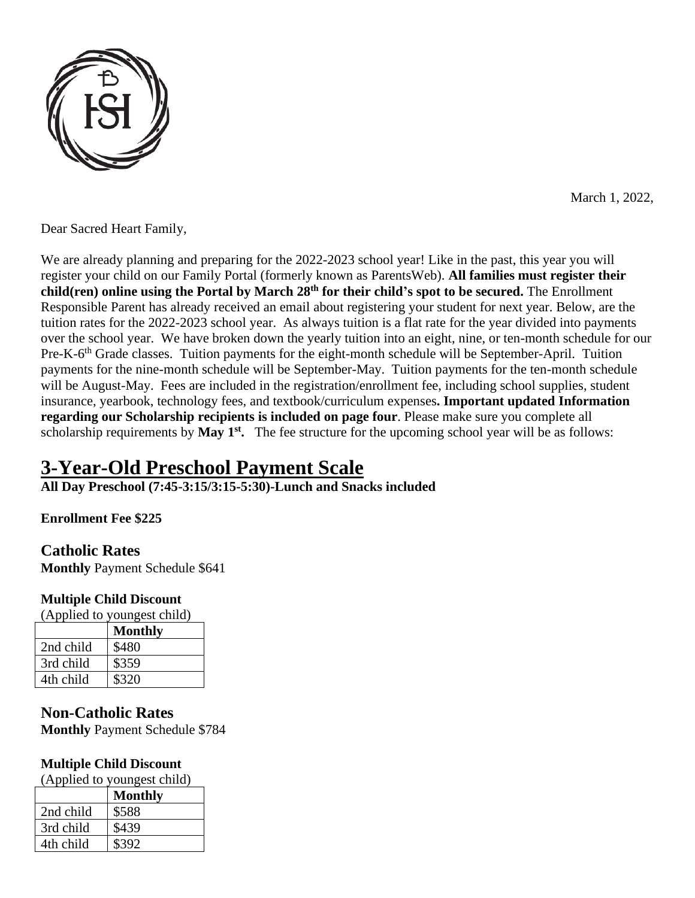

March 1, 2022,

Dear Sacred Heart Family,

We are already planning and preparing for the 2022-2023 school year! Like in the past, this year you will register your child on our Family Portal (formerly known as ParentsWeb). **All families must register their child(ren) online using the Portal by March 28th for their child's spot to be secured.** The Enrollment Responsible Parent has already received an email about registering your student for next year. Below, are the tuition rates for the 2022-2023 school year. As always tuition is a flat rate for the year divided into payments over the school year. We have broken down the yearly tuition into an eight, nine, or ten-month schedule for our Pre-K-6<sup>th</sup> Grade classes. Tuition payments for the eight-month schedule will be September-April. Tuition payments for the nine-month schedule will be September-May. Tuition payments for the ten-month schedule will be August-May. Fees are included in the registration/enrollment fee, including school supplies, student insurance, yearbook, technology fees, and textbook/curriculum expenses**. Important updated Information regarding our Scholarship recipients is included on page four**. Please make sure you complete all scholarship requirements by **May 1st .** The fee structure for the upcoming school year will be as follows:

# **3-Year-Old Preschool Payment Scale**

**All Day Preschool (7:45-3:15/3:15-5:30)-Lunch and Snacks included**

**Enrollment Fee \$225**

## **Catholic Rates**

**Monthly** Payment Schedule \$641

## **Multiple Child Discount**

(Applied to youngest child)

|           | <b>Monthly</b> |
|-----------|----------------|
| 2nd child | \$480          |
| 3rd child | \$359          |
| 4th child | \$320          |

## **Non-Catholic Rates**

**Monthly** Payment Schedule \$784

## **Multiple Child Discount**

(Applied to youngest child)

|           | <b>Monthly</b> |
|-----------|----------------|
| 2nd child | \$588          |
| 3rd child | \$439          |
| 4th child | \$392          |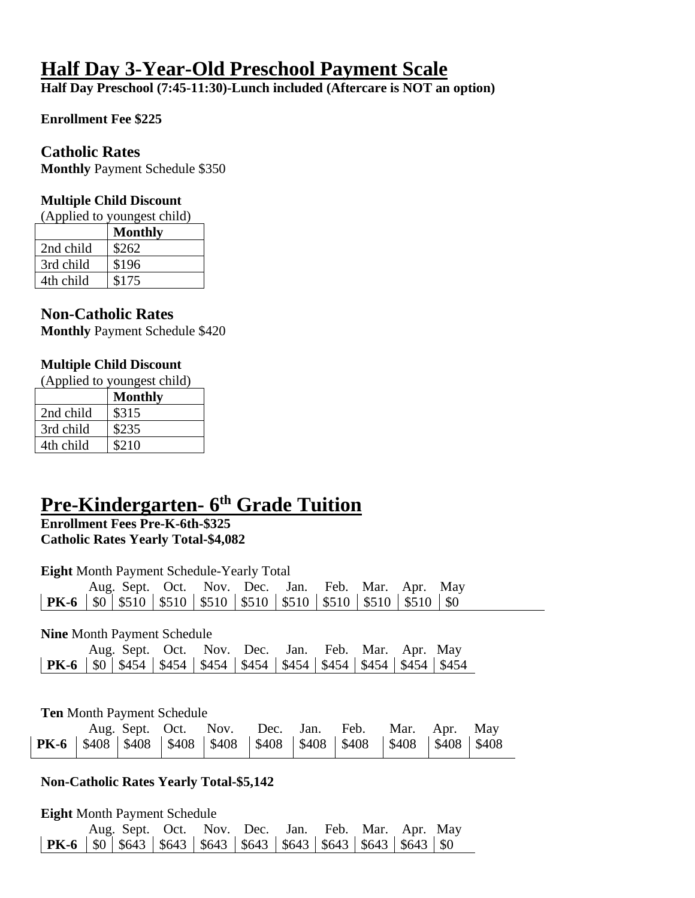# **Half Day 3-Year-Old Preschool Payment Scale**

**Half Day Preschool (7:45-11:30)-Lunch included (Aftercare is NOT an option)**

#### **Enrollment Fee \$225**

#### **Catholic Rates**

**Monthly** Payment Schedule \$350

#### **Multiple Child Discount**

(Applied to youngest child)

|           | <b>Monthly</b> |
|-----------|----------------|
| 2nd child | \$262          |
| 3rd child | \$196          |
| 4th child | \$175          |

### **Non-Catholic Rates**

**Monthly** Payment Schedule \$420

#### **Multiple Child Discount**

(Applied to youngest child)

|           | <b>Monthly</b> |
|-----------|----------------|
| 2nd child | \$315          |
| 3rd child | \$235          |
| 4th child | \$210          |

## **Pre-Kindergarten- 6 th Grade Tuition**

**Enrollment Fees Pre-K-6th-\$325 Catholic Rates Yearly Total-\$4,082**

|             |                  |                 | Aug. Sept. Oct. Nov. Dec.          |       |                | Jan.  | Feb.          | Mar.  | Apr.  | May   |       |
|-------------|------------------|-----------------|------------------------------------|-------|----------------|-------|---------------|-------|-------|-------|-------|
| <b>PK-6</b> | \$0              |                 | $$510$   \$510                     | \$510 | \$510          | \$510 | \$510         | \$510 | \$510 | \$0   |       |
|             |                  |                 |                                    |       |                |       |               |       |       |       |       |
|             |                  |                 | <b>Nine Month Payment Schedule</b> |       |                |       |               |       |       |       |       |
|             |                  |                 | Aug. Sept. Oct. Nov. Dec.          |       |                | Jan.  | Feb.          | Mar.  | Apr.  | May   |       |
| <b>PK-6</b> | \$0 <sub>1</sub> | \$454           | \$454                              |       | $$454$   \$454 | \$454 | $$454$ $$454$ |       | \$454 | \$454 |       |
|             |                  |                 |                                    |       |                |       |               |       |       |       |       |
|             |                  |                 | <b>Ten Month Payment Schedule</b>  |       |                |       |               |       |       |       |       |
|             |                  | Aug. Sept. Oct. |                                    | Nov.  | Dec.           | Jan.  | Feb.          |       | Mar.  | Apr.  | May   |
| <b>PK-6</b> | \$408            | \$408           | \$408                              | \$408 | \$408          | \$408 |               | \$408 | \$408 | \$408 | \$408 |

**Eight** Month Payment Schedule Aug. Sept. Oct. Nov. Dec. Jan. Feb. Mar. Apr. May **PK-6**  $\begin{bmatrix} 80 \\ 43 \end{bmatrix}$  \$643  $\begin{bmatrix} 8643 \\ 8643 \end{bmatrix}$  \$643  $\begin{bmatrix} 8643 \\ 8643 \end{bmatrix}$  \$643  $\begin{bmatrix} 8643 \\ 8643 \end{bmatrix}$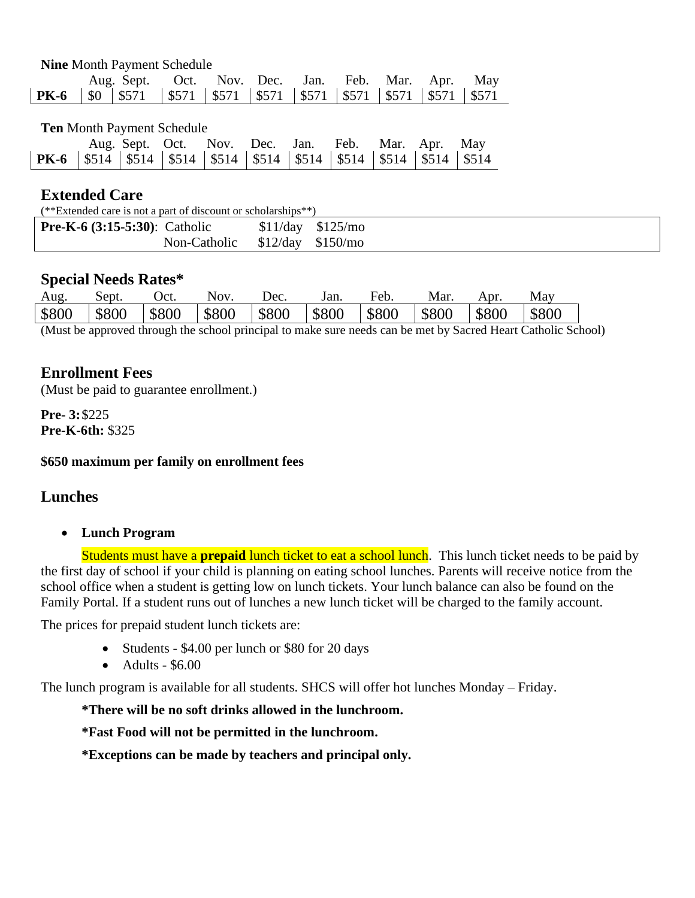#### **Nine** Month Payment Schedule

|                                                                                           | Aug. Sept. Oct. Nov. Dec. Jan. Feb. Mar. Apr. May |  |  |  |  |
|-------------------------------------------------------------------------------------------|---------------------------------------------------|--|--|--|--|
| <b>PK-6</b>   \$0   \$571   \$571   \$571   \$571   \$571   \$571   \$571   \$571   \$571 |                                                   |  |  |  |  |

**Ten** Month Payment Schedule

|                                                                                             |  | Aug. Sept. Oct. Nov. Dec. Jan. Feb. Mar. Apr. May |  |  |  |  |
|---------------------------------------------------------------------------------------------|--|---------------------------------------------------|--|--|--|--|
| <b>PK-6</b>   \$514   \$514   \$514   \$514   \$514   \$514   \$514   \$514   \$514   \$514 |  |                                                   |  |  |  |  |

### **Extended Care**

| (**Extended care is not a part of discount or scholarships**) |                                 |                          |  |
|---------------------------------------------------------------|---------------------------------|--------------------------|--|
| <b>Pre-K-6</b> $(3:15-5:30)$ : Catholic                       |                                 | $$11/day \quad $125/mol$ |  |
|                                                               | Non-Catholic $$12/day $150/mol$ |                          |  |

#### **Special Needs Rates\***

| Aug.  | Sept. | .Jct  | NOV.  | Dec.  | Jan.  | <b>11</b><br>Heb. | Mar.  | Apr.  | May   |
|-------|-------|-------|-------|-------|-------|-------------------|-------|-------|-------|
| \$800 | \$800 | \$800 | \$800 | \$800 | \$800 | \$800             | \$800 | \$800 | \$800 |

(Must be approved through the school principal to make sure needs can be met by Sacred Heart Catholic School)

### **Enrollment Fees**

(Must be paid to guarantee enrollment.)

**Pre- 3:**\$225 **Pre-K-6th:** \$325

#### **\$650 maximum per family on enrollment fees**

### **Lunches**

#### • **Lunch Program**

Students must have a **prepaid** lunch ticket to eat a school lunch. This lunch ticket needs to be paid by the first day of school if your child is planning on eating school lunches. Parents will receive notice from the school office when a student is getting low on lunch tickets. Your lunch balance can also be found on the Family Portal. If a student runs out of lunches a new lunch ticket will be charged to the family account.

The prices for prepaid student lunch tickets are:

- Students \$4.00 per lunch or \$80 for 20 days
- Adults  $-$  \$6.00

The lunch program is available for all students. SHCS will offer hot lunches Monday – Friday.

**\*There will be no soft drinks allowed in the lunchroom.** 

**\*Fast Food will not be permitted in the lunchroom.** 

**\*Exceptions can be made by teachers and principal only.**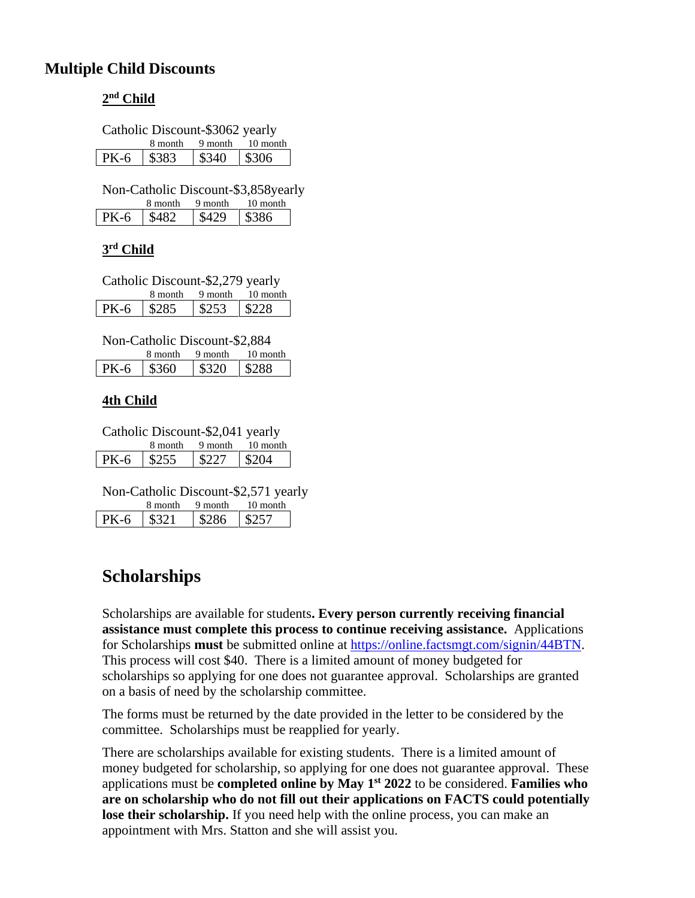## **Multiple Child Discounts**

### **2 nd Child**

Catholic Discount-\$3062 yearly

|                                | 8 month 9 month 10 month |
|--------------------------------|--------------------------|
| $PK-6$   \$383   \$340   \$306 |                          |

Non-Catholic Discount-\$3,858yearly  $8$  month  $10$  month

|     | пюшл | ч<br>пюни | то шошл |
|-----|------|-----------|---------|
| -6. |      |           |         |

#### **3 rd Child**

| Catholic Discount-\$2,279 yearly |                                |  |                          |  |  |
|----------------------------------|--------------------------------|--|--------------------------|--|--|
|                                  |                                |  | 8 month 9 month 10 month |  |  |
|                                  | $PK-6$   \$285   \$253   \$228 |  |                          |  |  |

Non-Catholic Discount-\$2,884 8 month 9 month 10 month PK-6 | \$360 | \$320 | \$288

### **4th Child**

Catholic Discount-\$2,041 yearly 8 month 9 month 10 month  $PK-6$   $$255$   $$227$   $$204$ 

Non-Catholic Discount-\$2,571 yearly

|      | 8 month | 9 month | 10 month |
|------|---------|---------|----------|
| PK-6 | \$321   | \$286   |          |

## **Scholarships**

Scholarships are available for students**. Every person currently receiving financial assistance must complete this process to continue receiving assistance.** Applications for Scholarships **must** be submitted online at [https://online.factsmgt.com/signin/44BTN.](https://online.factsmgt.com/signin/44BTN) This process will cost \$40. There is a limited amount of money budgeted for scholarships so applying for one does not guarantee approval. Scholarships are granted on a basis of need by the scholarship committee.

The forms must be returned by the date provided in the letter to be considered by the committee. Scholarships must be reapplied for yearly.

There are scholarships available for existing students. There is a limited amount of money budgeted for scholarship, so applying for one does not guarantee approval. These applications must be **completed online by May 1st 2022** to be considered. **Families who are on scholarship who do not fill out their applications on FACTS could potentially lose their scholarship.** If you need help with the online process, you can make an appointment with Mrs. Statton and she will assist you.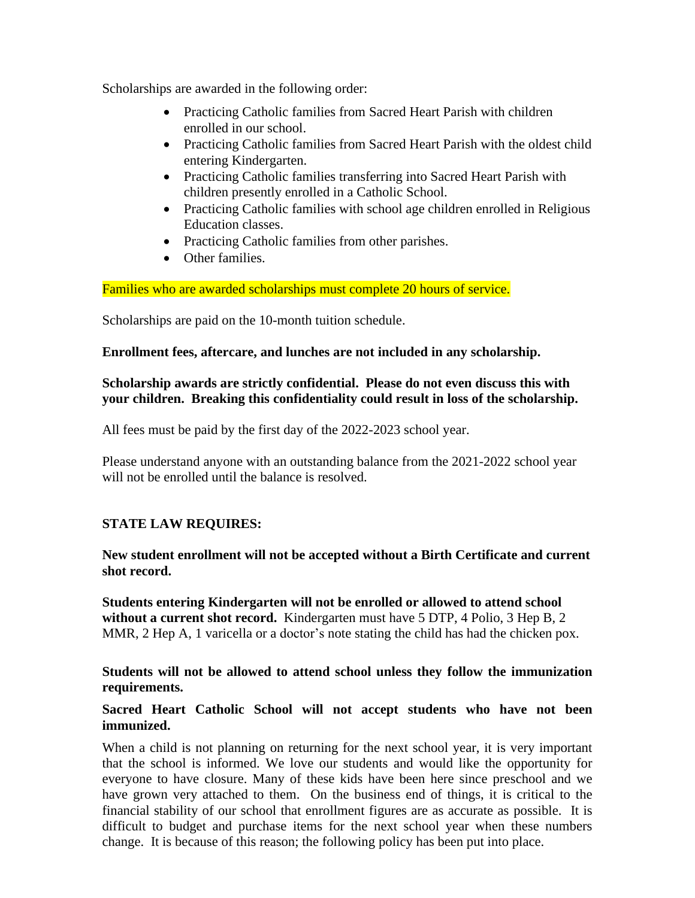Scholarships are awarded in the following order:

- Practicing Catholic families from Sacred Heart Parish with children enrolled in our school.
- Practicing Catholic families from Sacred Heart Parish with the oldest child entering Kindergarten.
- Practicing Catholic families transferring into Sacred Heart Parish with children presently enrolled in a Catholic School.
- Practicing Catholic families with school age children enrolled in Religious Education classes.
- Practicing Catholic families from other parishes.
- Other families.

Families who are awarded scholarships must complete 20 hours of service.

Scholarships are paid on the 10-month tuition schedule.

**Enrollment fees, aftercare, and lunches are not included in any scholarship.**

#### **Scholarship awards are strictly confidential. Please do not even discuss this with your children. Breaking this confidentiality could result in loss of the scholarship.**

All fees must be paid by the first day of the 2022-2023 school year.

Please understand anyone with an outstanding balance from the 2021-2022 school year will not be enrolled until the balance is resolved.

### **STATE LAW REQUIRES:**

**New student enrollment will not be accepted without a Birth Certificate and current shot record.** 

**Students entering Kindergarten will not be enrolled or allowed to attend school without a current shot record.** Kindergarten must have 5 DTP, 4 Polio, 3 Hep B, 2 MMR, 2 Hep A, 1 varicella or a doctor's note stating the child has had the chicken pox.

**Students will not be allowed to attend school unless they follow the immunization requirements.** 

#### **Sacred Heart Catholic School will not accept students who have not been immunized.**

When a child is not planning on returning for the next school year, it is very important that the school is informed. We love our students and would like the opportunity for everyone to have closure. Many of these kids have been here since preschool and we have grown very attached to them. On the business end of things, it is critical to the financial stability of our school that enrollment figures are as accurate as possible. It is difficult to budget and purchase items for the next school year when these numbers change. It is because of this reason; the following policy has been put into place.